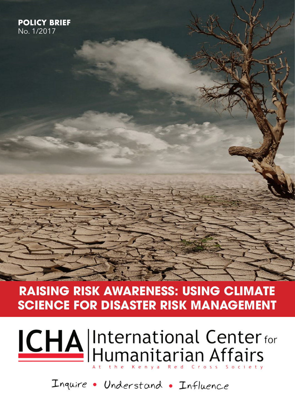# **RAISING RISK AWARENESS: USING CLIMATE SCIENCE FOR DISASTER RISK MANAGEMENT**

# **ICHA** International Center for

Inquire • Understand • Influence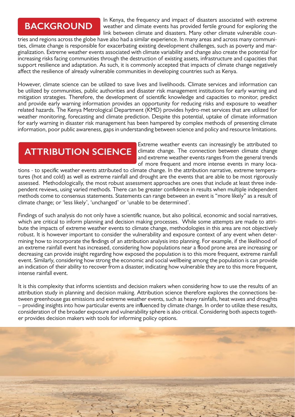# **BACKGROUND**

In Kenya, the frequency and impact of disasters associated with extreme weather and climate events has provided fertile ground for exploring the link between climate and disasters. Many other climate vulnerable coun-

tries and regions across the globe have also had a similar experience. In many areas and across many communities, climate change is responsible for exacerbating existing development challenges, such as poverty and marginalization. Extreme weather events associated with climate variability and change also create the potential for increasing risks facing communities through the destruction of existing assets, infrastructure and capacities that support resilience and adaptation. As such, it is commonly accepted that impacts of climate change negatively affect the resilience of already vulnerable communities in developing countries such as Kenya.

However, climate science can be utilized to save lives and livelihoods. Climate services and information can be utilized by communities, public authorities and disaster risk management institutions for early warning and mitigation strategies. Therefore, the development of scientific knowledge and capacities to monitor, predict and provide early warning information provides an opportunity for reducing risks and exposure to weather related hazards. The Kenya Metrological Department (KMD) provides hydro-met services that are utilized for weather monitoring, forecasting and climate prediction. Despite this potential, uptake of climate information for early warning in disaster risk management has been hampered by complex methods of presenting climate information, poor public awareness, gaps in understanding between science and policy and resource limitations.

# **ATTRIBUTION SCIENCE**

Extreme weather events can increasingly be attributed to climate change. The connection between climate change and extreme weather events ranges from the general trends of more frequent and more intense events in many loca-

tions - to specific weather events attributed to climate change. In the attribution narrative, extreme temperatures (hot and cold) as well as extreme rainfall and drought are the events that are able to be most rigorously assessed. Methodologically, the most robust assessment approaches are ones that include at least three independent reviews, using varied methods. There can be greater confidence in results when multiple independent methods come to consensus statements. Statements can range between an event is "more likely" as a result of climate change; or 'less likely', 'unchanged' or 'unable to be determined'.

Findings of such analysis do not only have a scientific nuance, but also political, economic and social narratives, which are critical to inform planning and decision making processes. While some attempts are made to attribute the impacts of extreme weather events to climate change, methodologies in this area are not objectively robust. It is however important to consider the vulnerability and exposure context of any event when determining how to incorporate the findings of an attribution analysis into planning. For example, if the likelihood of an extreme rainfall event has increased, considering how populations near a flood prone area are increasing or decreasing can provide insight regarding how exposed the population is to this more frequent, extreme rainfall event. Similarly, considering how strong the economic and social wellbeing among the population is can provide an indication of their ability to recover from a disaster, indicating how vulnerable they are to this more frequent, intense rainfall event.

It is this complexity that informs scientists and decision makers when considering how to use the results of an attribution study in planning and decision making. Attribution science therefore explores the connections between greenhouse gas emissions and extreme weather events, such as heavy rainfalls, heat waves and droughts – providing insights into how particular events are influenced by climate change. In order to utilize these results, consideration of the broader exposure and vulnerability sphere is also critical. Considering both aspects together provides decision makers with tools for informing policy options.

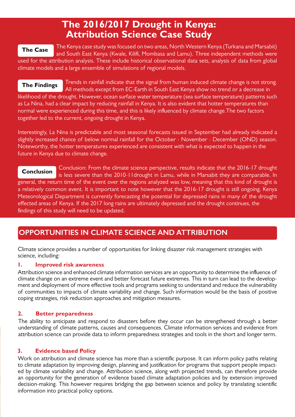# **The 2016/2017 Drought in Kenya: Attribution Science Case Study**

#### **The Case**

The Kenya case study was focused on two areas, North Western Kenya (Turkana and Marsabit) and South East Kenya (Kwale, Kilifi, Mombasa and Lamu). Three independent methods were used for the attribution analysis. These include historical observational data sets, analysis of data from global

climate models and a large ensemble of simulations of regional models.

Trends in rainfall indicate that the signal from human induced climate change is not strong. All methods except from EC-Earth in South East Kenya show no trend or a decrease in likelihood of the drought. However, ocean surface water temperature (sea surface temperature) patterns such as La Nina, had a clear impact by reducing rainfall in Kenya. It is also evident that hotter temperatures than normal were experienced during this time, and this is likely influenced by climate change.The two factors together led to the current, ongoing drought in Kenya. **The Findings**

Interestingly, La Nina is predictable and most seasonal forecasts issued in September had already indicated a slightly increased chance of below normal rainfall for the October - November - December (OND) season. Noteworthy, the hotter temperatures experienced are consistent with what is expected to happen in the future in Kenya due to climate change.

Conclusion: From the climate science perspective, results indicate that the 2016-17 drought is less severe than the 2010-11drought in Lamu, while in Marsabit they are comparable. In general, the return time of the event over the regions analyzed was low, meaning that this kind of drought is a relatively common event. It is important to note however that the 2016-17 drought is still ongoing. Kenya Meteorological Department is currently forecasting the potential for depressed rains in many of the drought effected areas of Kenya. If the 2017 long rains are ultimately depressed and the drought continues, the findings of this study will need to be updated. **Conclusion**

### **OPPORTUNITIES IN CLIMATE SCIENCE AND ATTRIBUTION**

Climate science provides a number of opportunities for linking disaster risk management strategies with science, including:

#### **1. Improved risk awareness**

Attribution science and enhanced climate information services are an opportunity to determine the influence of climate change on an extreme event and better forecast future extremes. This in turn can lead to the development and deployment of more effective tools and programs seeking to understand and reduce the vulnerability of communities to impacts of climate variability and change. Such information would be the basis of positive coping strategies, risk reduction approaches and mitigation measures.

#### **2. Better preparedness**

The ability to anticipate and respond to disasters before they occur can be strengthened through a better understanding of climate patterns, causes and consequences. Climate information services and evidence from attribution science can provide data to inform preparedness strategies and tools in the short and longer term.

#### **3. Evidence based Policy**

Work on attribution and climate science has more than a scientific purpose. It can inform policy paths relating to climate adaptation by improving design, planning and justification for programs that support people impacted by climate variability and change. Attribution science, along with projected trends, can therefore provide an opportunity for the generation of evidence based climate adaptation policies and by extension improved decision-making. This however requires bridging the gap between science and policy by translating scientific information into practical policy options.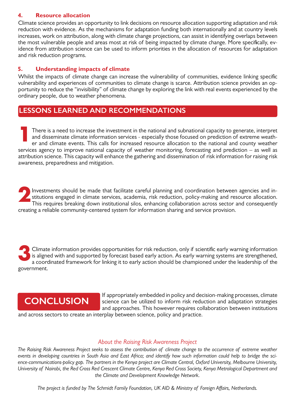#### **4. Resource allocation**

Climate science provides an opportunity to link decisions on resource allocation supporting adaptation and risk reduction with evidence. As the mechanisms for adaptation funding both internationally and at country levels increases, work on attribution, along with climate change projections, can assist in identifying overlaps between the most vulnerable people and areas most at risk of being impacted by climate change. More specifically, evidence from attribution science can be used to inform priorities in the allocation of resources for adaptation and risk reduction programs.

#### **5. Understanding impacts of climate**

Whilst the impacts of climate change can increase the vulnerability of communities, evidence linking specific vulnerability and experiences of communities to climate change is scarce. Attribution science provides an opportunity to reduce the "invisibility" of climate change by exploring the link with real events experienced by the ordinary people, due to weather phenomena.

## **LESSONS LEARNED AND RECOMMENDATIONS**

There is a need to increase the investment in the national and subnational capacity to generate, interpret and disseminate climate information services - especially those focused on prediction of extreme weather and climate events. This calls for increased resource allocation to the national and county weather services agency to improve national capacity of weather monitoring, forecasting and prediction – as well as attribution science. This capacity will enhance the gathering and dissemination of risk information for raising risk awareness, preparedness and mitigation. **1**

Investments should be made that facilitate careful planning and coordination between agencies and institutions engaged in climate services, academia, risk reduction, policy-making and resource allocation. This requires breaking down institutional silos, enhancing collaboration across sector and consequently creating a reliable community-centered system for information sharing and service provision. **2**

Climate information provides opportunities for risk reduction, only if scientific early warning information is aligned with and supported by forecast based early action. As early warning systems are strengthened, a coordinated framework for linking it to early action should be championed under the leadership of the government. **3**

# **CONCLUSION**

If appropriately embedded in policy and decision-making processes, climate science can be utilized to inform risk reduction and adaptation strategies and approaches. This however requires collaboration between institutions

and across sectors to create an interplay between science, policy and practice.

#### *About the Raising Risk Awareness Project*

*The Raising Risk Awareness Project seeks to assess the contribution of climate change to the occurrence of extreme weather events in developing countries in South Asia and East Africa; and identify how such information could help to bridge the science-communications-policy gap. The partners in the Kenya project are Climate Central, Oxford University, Melbourne University, University of Nairobi, the Red Cross Red Crescent Climate Centre, Kenya Red Cross Society, Kenya Metrological Department and the Climate and Development Knowledge Network.* 

*The project is funded by The Schmidt Family Foundation, UK AID & Ministry of Foreign Affairs, Netherlands.*